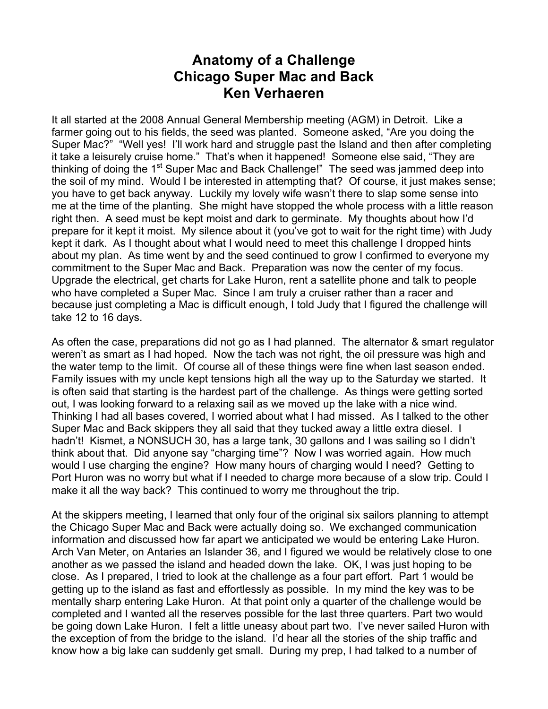## **Anatomy of a Challenge Chicago Super Mac and Back Ken Verhaeren**

It all started at the 2008 Annual General Membership meeting (AGM) in Detroit. Like a farmer going out to his fields, the seed was planted. Someone asked, "Are you doing the Super Mac?" "Well yes! I'll work hard and struggle past the Island and then after completing it take a leisurely cruise home." That's when it happened! Someone else said, "They are thinking of doing the 1<sup>st</sup> Super Mac and Back Challenge!" The seed was jammed deep into the soil of my mind. Would I be interested in attempting that? Of course, it just makes sense; you have to get back anyway. Luckily my lovely wife wasn't there to slap some sense into me at the time of the planting. She might have stopped the whole process with a little reason right then. A seed must be kept moist and dark to germinate. My thoughts about how I'd prepare for it kept it moist. My silence about it (you've got to wait for the right time) with Judy kept it dark. As I thought about what I would need to meet this challenge I dropped hints about my plan. As time went by and the seed continued to grow I confirmed to everyone my commitment to the Super Mac and Back. Preparation was now the center of my focus. Upgrade the electrical, get charts for Lake Huron, rent a satellite phone and talk to people who have completed a Super Mac. Since I am truly a cruiser rather than a racer and because just completing a Mac is difficult enough, I told Judy that I figured the challenge will take 12 to 16 days.

As often the case, preparations did not go as I had planned. The alternator & smart regulator weren't as smart as I had hoped. Now the tach was not right, the oil pressure was high and the water temp to the limit. Of course all of these things were fine when last season ended. Family issues with my uncle kept tensions high all the way up to the Saturday we started. It is often said that starting is the hardest part of the challenge. As things were getting sorted out, I was looking forward to a relaxing sail as we moved up the lake with a nice wind. Thinking I had all bases covered, I worried about what I had missed. As I talked to the other Super Mac and Back skippers they all said that they tucked away a little extra diesel. I hadn't! Kismet, a NONSUCH 30, has a large tank, 30 gallons and I was sailing so I didn't think about that. Did anyone say "charging time"? Now I was worried again. How much would I use charging the engine? How many hours of charging would I need? Getting to Port Huron was no worry but what if I needed to charge more because of a slow trip. Could I make it all the way back? This continued to worry me throughout the trip.

At the skippers meeting, I learned that only four of the original six sailors planning to attempt the Chicago Super Mac and Back were actually doing so. We exchanged communication information and discussed how far apart we anticipated we would be entering Lake Huron. Arch Van Meter, on Antaries an Islander 36, and I figured we would be relatively close to one another as we passed the island and headed down the lake. OK, I was just hoping to be close. As I prepared, I tried to look at the challenge as a four part effort. Part 1 would be getting up to the island as fast and effortlessly as possible. In my mind the key was to be mentally sharp entering Lake Huron. At that point only a quarter of the challenge would be completed and I wanted all the reserves possible for the last three quarters. Part two would be going down Lake Huron. I felt a little uneasy about part two. I've never sailed Huron with the exception of from the bridge to the island. I'd hear all the stories of the ship traffic and know how a big lake can suddenly get small. During my prep, I had talked to a number of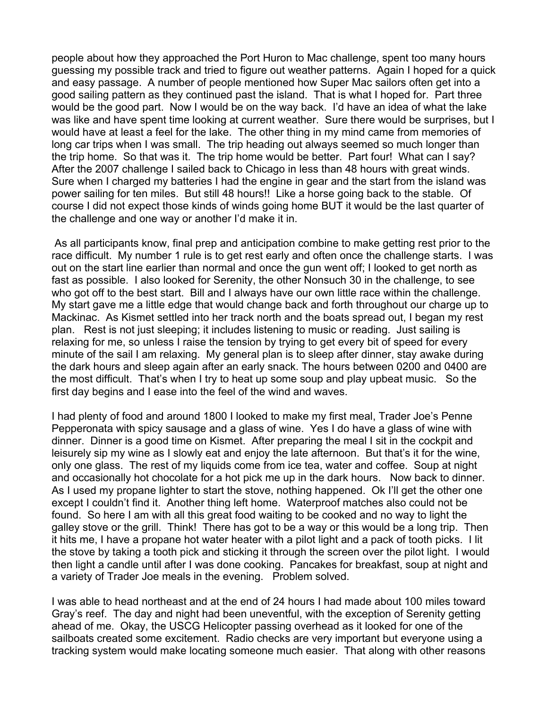people about how they approached the Port Huron to Mac challenge, spent too many hours guessing my possible track and tried to figure out weather patterns. Again I hoped for a quick and easy passage. A number of people mentioned how Super Mac sailors often get into a good sailing pattern as they continued past the island. That is what I hoped for. Part three would be the good part. Now I would be on the way back. I'd have an idea of what the lake was like and have spent time looking at current weather. Sure there would be surprises, but I would have at least a feel for the lake. The other thing in my mind came from memories of long car trips when I was small. The trip heading out always seemed so much longer than the trip home. So that was it. The trip home would be better. Part four! What can I say? After the 2007 challenge I sailed back to Chicago in less than 48 hours with great winds. Sure when I charged my batteries I had the engine in gear and the start from the island was power sailing for ten miles. But still 48 hours!! Like a horse going back to the stable. Of course I did not expect those kinds of winds going home BUT it would be the last quarter of the challenge and one way or another I'd make it in.

As all participants know, final prep and anticipation combine to make getting rest prior to the race difficult. My number 1 rule is to get rest early and often once the challenge starts. I was out on the start line earlier than normal and once the gun went off; I looked to get north as fast as possible. I also looked for Serenity, the other Nonsuch 30 in the challenge, to see who got off to the best start. Bill and I always have our own little race within the challenge. My start gave me a little edge that would change back and forth throughout our charge up to Mackinac. As Kismet settled into her track north and the boats spread out, I began my rest plan. Rest is not just sleeping; it includes listening to music or reading. Just sailing is relaxing for me, so unless I raise the tension by trying to get every bit of speed for every minute of the sail I am relaxing. My general plan is to sleep after dinner, stay awake during the dark hours and sleep again after an early snack. The hours between 0200 and 0400 are the most difficult. That's when I try to heat up some soup and play upbeat music. So the first day begins and I ease into the feel of the wind and waves.

I had plenty of food and around 1800 I looked to make my first meal, Trader Joe's Penne Pepperonata with spicy sausage and a glass of wine. Yes I do have a glass of wine with dinner. Dinner is a good time on Kismet. After preparing the meal I sit in the cockpit and leisurely sip my wine as I slowly eat and enjoy the late afternoon. But that's it for the wine, only one glass. The rest of my liquids come from ice tea, water and coffee. Soup at night and occasionally hot chocolate for a hot pick me up in the dark hours. Now back to dinner. As I used my propane lighter to start the stove, nothing happened. Ok I'll get the other one except I couldn't find it. Another thing left home. Waterproof matches also could not be found. So here I am with all this great food waiting to be cooked and no way to light the galley stove or the grill. Think! There has got to be a way or this would be a long trip. Then it hits me, I have a propane hot water heater with a pilot light and a pack of tooth picks. I lit the stove by taking a tooth pick and sticking it through the screen over the pilot light. I would then light a candle until after I was done cooking. Pancakes for breakfast, soup at night and a variety of Trader Joe meals in the evening. Problem solved.

I was able to head northeast and at the end of 24 hours I had made about 100 miles toward Gray's reef. The day and night had been uneventful, with the exception of Serenity getting ahead of me. Okay, the USCG Helicopter passing overhead as it looked for one of the sailboats created some excitement. Radio checks are very important but everyone using a tracking system would make locating someone much easier. That along with other reasons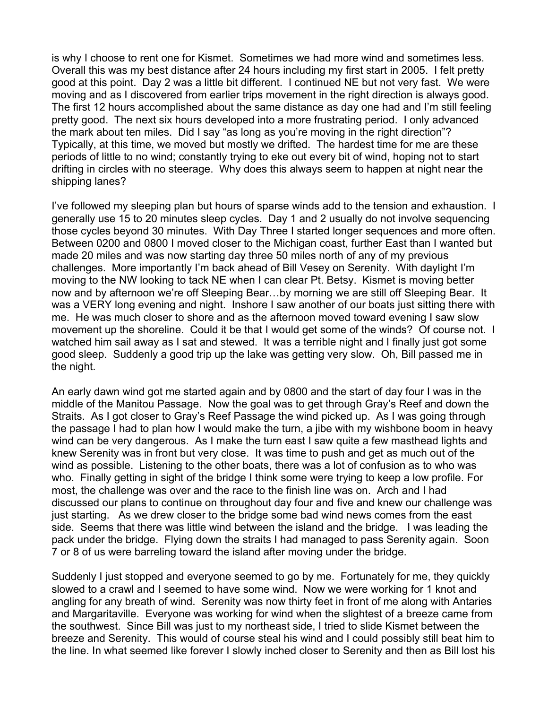is why I choose to rent one for Kismet. Sometimes we had more wind and sometimes less. Overall this was my best distance after 24 hours including my first start in 2005. I felt pretty good at this point. Day 2 was a little bit different. I continued NE but not very fast. We were moving and as I discovered from earlier trips movement in the right direction is always good. The first 12 hours accomplished about the same distance as day one had and I'm still feeling pretty good. The next six hours developed into a more frustrating period. I only advanced the mark about ten miles. Did I say "as long as you're moving in the right direction"? Typically, at this time, we moved but mostly we drifted. The hardest time for me are these periods of little to no wind; constantly trying to eke out every bit of wind, hoping not to start drifting in circles with no steerage. Why does this always seem to happen at night near the shipping lanes?

I've followed my sleeping plan but hours of sparse winds add to the tension and exhaustion. I generally use 15 to 20 minutes sleep cycles. Day 1 and 2 usually do not involve sequencing those cycles beyond 30 minutes. With Day Three I started longer sequences and more often. Between 0200 and 0800 I moved closer to the Michigan coast, further East than I wanted but made 20 miles and was now starting day three 50 miles north of any of my previous challenges. More importantly I'm back ahead of Bill Vesey on Serenity. With daylight I'm moving to the NW looking to tack NE when I can clear Pt. Betsy. Kismet is moving better now and by afternoon we're off Sleeping Bear…by morning we are still off Sleeping Bear. It was a VERY long evening and night. Inshore I saw another of our boats just sitting there with me. He was much closer to shore and as the afternoon moved toward evening I saw slow movement up the shoreline. Could it be that I would get some of the winds? Of course not. I watched him sail away as I sat and stewed. It was a terrible night and I finally just got some good sleep. Suddenly a good trip up the lake was getting very slow. Oh, Bill passed me in the night.

An early dawn wind got me started again and by 0800 and the start of day four I was in the middle of the Manitou Passage. Now the goal was to get through Gray's Reef and down the Straits. As I got closer to Gray's Reef Passage the wind picked up. As I was going through the passage I had to plan how I would make the turn, a jibe with my wishbone boom in heavy wind can be very dangerous. As I make the turn east I saw quite a few masthead lights and knew Serenity was in front but very close. It was time to push and get as much out of the wind as possible. Listening to the other boats, there was a lot of confusion as to who was who. Finally getting in sight of the bridge I think some were trying to keep a low profile. For most, the challenge was over and the race to the finish line was on. Arch and I had discussed our plans to continue on throughout day four and five and knew our challenge was just starting. As we drew closer to the bridge some bad wind news comes from the east side. Seems that there was little wind between the island and the bridge. I was leading the pack under the bridge. Flying down the straits I had managed to pass Serenity again. Soon 7 or 8 of us were barreling toward the island after moving under the bridge.

Suddenly I just stopped and everyone seemed to go by me. Fortunately for me, they quickly slowed to a crawl and I seemed to have some wind. Now we were working for 1 knot and angling for any breath of wind. Serenity was now thirty feet in front of me along with Antaries and Margaritaville. Everyone was working for wind when the slightest of a breeze came from the southwest. Since Bill was just to my northeast side, I tried to slide Kismet between the breeze and Serenity. This would of course steal his wind and I could possibly still beat him to the line. In what seemed like forever I slowly inched closer to Serenity and then as Bill lost his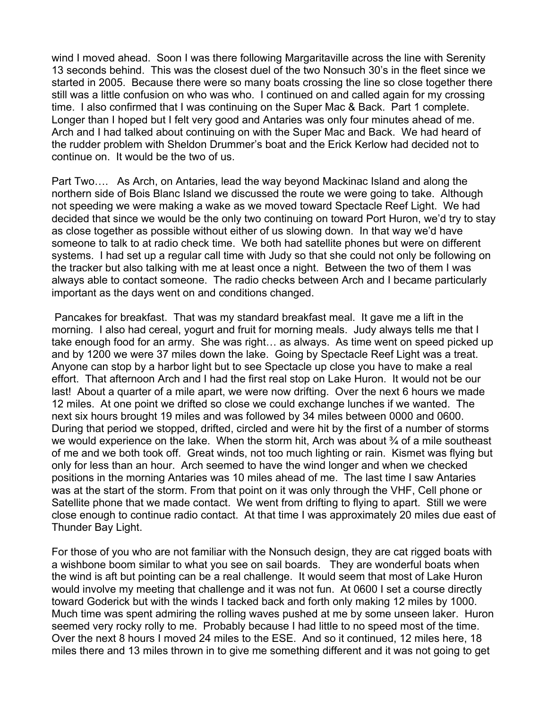wind I moved ahead. Soon I was there following Margaritaville across the line with Serenity 13 seconds behind. This was the closest duel of the two Nonsuch 30's in the fleet since we started in 2005. Because there were so many boats crossing the line so close together there still was a little confusion on who was who. I continued on and called again for my crossing time. I also confirmed that I was continuing on the Super Mac & Back. Part 1 complete. Longer than I hoped but I felt very good and Antaries was only four minutes ahead of me. Arch and I had talked about continuing on with the Super Mac and Back. We had heard of the rudder problem with Sheldon Drummer's boat and the Erick Kerlow had decided not to continue on. It would be the two of us.

Part Two…. As Arch, on Antaries, lead the way beyond Mackinac Island and along the northern side of Bois Blanc Island we discussed the route we were going to take. Although not speeding we were making a wake as we moved toward Spectacle Reef Light. We had decided that since we would be the only two continuing on toward Port Huron, we'd try to stay as close together as possible without either of us slowing down. In that way we'd have someone to talk to at radio check time. We both had satellite phones but were on different systems. I had set up a regular call time with Judy so that she could not only be following on the tracker but also talking with me at least once a night. Between the two of them I was always able to contact someone. The radio checks between Arch and I became particularly important as the days went on and conditions changed.

Pancakes for breakfast. That was my standard breakfast meal. It gave me a lift in the morning. I also had cereal, yogurt and fruit for morning meals. Judy always tells me that I take enough food for an army. She was right… as always. As time went on speed picked up and by 1200 we were 37 miles down the lake. Going by Spectacle Reef Light was a treat. Anyone can stop by a harbor light but to see Spectacle up close you have to make a real effort. That afternoon Arch and I had the first real stop on Lake Huron. It would not be our last! About a quarter of a mile apart, we were now drifting. Over the next 6 hours we made 12 miles. At one point we drifted so close we could exchange lunches if we wanted. The next six hours brought 19 miles and was followed by 34 miles between 0000 and 0600. During that period we stopped, drifted, circled and were hit by the first of a number of storms we would experience on the lake. When the storm hit, Arch was about % of a mile southeast of me and we both took off. Great winds, not too much lighting or rain. Kismet was flying but only for less than an hour. Arch seemed to have the wind longer and when we checked positions in the morning Antaries was 10 miles ahead of me. The last time I saw Antaries was at the start of the storm. From that point on it was only through the VHF, Cell phone or Satellite phone that we made contact. We went from drifting to flying to apart. Still we were close enough to continue radio contact. At that time I was approximately 20 miles due east of Thunder Bay Light.

For those of you who are not familiar with the Nonsuch design, they are cat rigged boats with a wishbone boom similar to what you see on sail boards. They are wonderful boats when the wind is aft but pointing can be a real challenge. It would seem that most of Lake Huron would involve my meeting that challenge and it was not fun. At 0600 I set a course directly toward Goderick but with the winds I tacked back and forth only making 12 miles by 1000. Much time was spent admiring the rolling waves pushed at me by some unseen laker. Huron seemed very rocky rolly to me. Probably because I had little to no speed most of the time. Over the next 8 hours I moved 24 miles to the ESE. And so it continued, 12 miles here, 18 miles there and 13 miles thrown in to give me something different and it was not going to get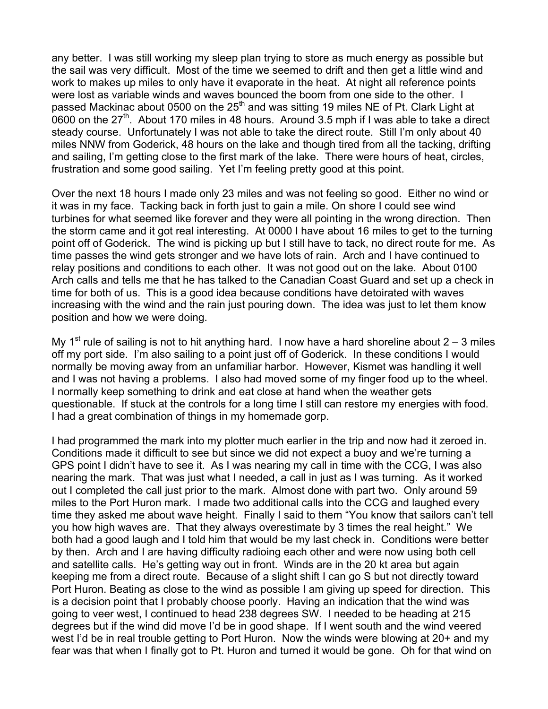any better. I was still working my sleep plan trying to store as much energy as possible but the sail was very difficult. Most of the time we seemed to drift and then get a little wind and work to makes up miles to only have it evaporate in the heat. At night all reference points were lost as variable winds and waves bounced the boom from one side to the other. I passed Mackinac about 0500 on the  $25<sup>th</sup>$  and was sitting 19 miles NE of Pt. Clark Light at 0600 on the  $27<sup>th</sup>$ . About 170 miles in 48 hours. Around 3.5 mph if I was able to take a direct steady course. Unfortunately I was not able to take the direct route. Still I'm only about 40 miles NNW from Goderick, 48 hours on the lake and though tired from all the tacking, drifting and sailing, I'm getting close to the first mark of the lake. There were hours of heat, circles, frustration and some good sailing. Yet I'm feeling pretty good at this point.

Over the next 18 hours I made only 23 miles and was not feeling so good. Either no wind or it was in my face. Tacking back in forth just to gain a mile. On shore I could see wind turbines for what seemed like forever and they were all pointing in the wrong direction. Then the storm came and it got real interesting. At 0000 I have about 16 miles to get to the turning point off of Goderick. The wind is picking up but I still have to tack, no direct route for me. As time passes the wind gets stronger and we have lots of rain. Arch and I have continued to relay positions and conditions to each other. It was not good out on the lake. About 0100 Arch calls and tells me that he has talked to the Canadian Coast Guard and set up a check in time for both of us. This is a good idea because conditions have detoirated with waves increasing with the wind and the rain just pouring down. The idea was just to let them know position and how we were doing.

My 1<sup>st</sup> rule of sailing is not to hit anything hard. I now have a hard shoreline about  $2 - 3$  miles off my port side. I'm also sailing to a point just off of Goderick. In these conditions I would normally be moving away from an unfamiliar harbor. However, Kismet was handling it well and I was not having a problems. I also had moved some of my finger food up to the wheel. I normally keep something to drink and eat close at hand when the weather gets questionable. If stuck at the controls for a long time I still can restore my energies with food. I had a great combination of things in my homemade gorp.

I had programmed the mark into my plotter much earlier in the trip and now had it zeroed in. Conditions made it difficult to see but since we did not expect a buoy and we're turning a GPS point I didn't have to see it. As I was nearing my call in time with the CCG, I was also nearing the mark. That was just what I needed, a call in just as I was turning. As it worked out I completed the call just prior to the mark. Almost done with part two. Only around 59 miles to the Port Huron mark. I made two additional calls into the CCG and laughed every time they asked me about wave height. Finally I said to them "You know that sailors can't tell you how high waves are. That they always overestimate by 3 times the real height." We both had a good laugh and I told him that would be my last check in. Conditions were better by then. Arch and I are having difficulty radioing each other and were now using both cell and satellite calls. He's getting way out in front. Winds are in the 20 kt area but again keeping me from a direct route. Because of a slight shift I can go S but not directly toward Port Huron. Beating as close to the wind as possible I am giving up speed for direction. This is a decision point that I probably choose poorly. Having an indication that the wind was going to veer west, I continued to head 238 degrees SW. I needed to be heading at 215 degrees but if the wind did move I'd be in good shape. If I went south and the wind veered west I'd be in real trouble getting to Port Huron. Now the winds were blowing at 20+ and my fear was that when I finally got to Pt. Huron and turned it would be gone. Oh for that wind on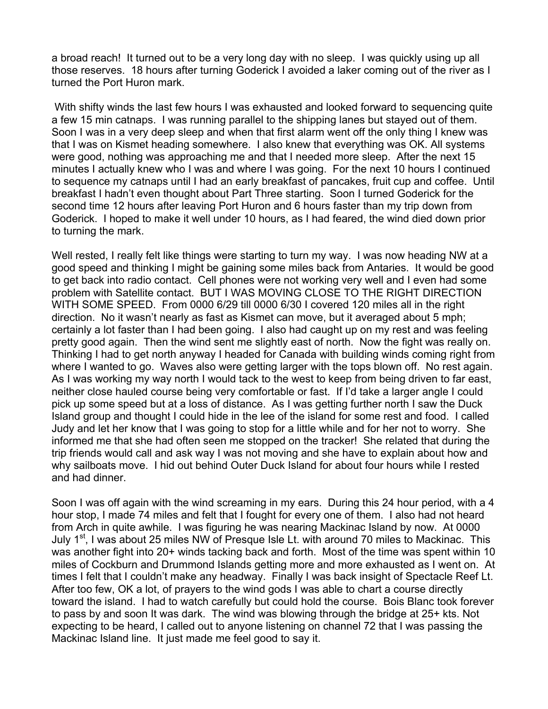a broad reach! It turned out to be a very long day with no sleep. I was quickly using up all those reserves. 18 hours after turning Goderick I avoided a laker coming out of the river as I turned the Port Huron mark.

 With shifty winds the last few hours I was exhausted and looked forward to sequencing quite a few 15 min catnaps. I was running parallel to the shipping lanes but stayed out of them. Soon I was in a very deep sleep and when that first alarm went off the only thing I knew was that I was on Kismet heading somewhere. I also knew that everything was OK. All systems were good, nothing was approaching me and that I needed more sleep. After the next 15 minutes I actually knew who I was and where I was going. For the next 10 hours I continued to sequence my catnaps until I had an early breakfast of pancakes, fruit cup and coffee. Until breakfast I hadn't even thought about Part Three starting. Soon I turned Goderick for the second time 12 hours after leaving Port Huron and 6 hours faster than my trip down from Goderick. I hoped to make it well under 10 hours, as I had feared, the wind died down prior to turning the mark.

Well rested, I really felt like things were starting to turn my way. I was now heading NW at a good speed and thinking I might be gaining some miles back from Antaries. It would be good to get back into radio contact. Cell phones were not working very well and I even had some problem with Satellite contact. BUT I WAS MOVING CLOSE TO THE RIGHT DIRECTION WITH SOME SPEED. From 0000 6/29 till 0000 6/30 I covered 120 miles all in the right direction. No it wasn't nearly as fast as Kismet can move, but it averaged about 5 mph; certainly a lot faster than I had been going. I also had caught up on my rest and was feeling pretty good again. Then the wind sent me slightly east of north. Now the fight was really on. Thinking I had to get north anyway I headed for Canada with building winds coming right from where I wanted to go. Waves also were getting larger with the tops blown off. No rest again. As I was working my way north I would tack to the west to keep from being driven to far east, neither close hauled course being very comfortable or fast. If I'd take a larger angle I could pick up some speed but at a loss of distance. As I was getting further north I saw the Duck Island group and thought I could hide in the lee of the island for some rest and food. I called Judy and let her know that I was going to stop for a little while and for her not to worry. She informed me that she had often seen me stopped on the tracker! She related that during the trip friends would call and ask way I was not moving and she have to explain about how and why sailboats move. I hid out behind Outer Duck Island for about four hours while I rested and had dinner.

Soon I was off again with the wind screaming in my ears. During this 24 hour period, with a 4 hour stop, I made 74 miles and felt that I fought for every one of them. I also had not heard from Arch in quite awhile. I was figuring he was nearing Mackinac Island by now. At 0000 July 1<sup>st</sup>, I was about 25 miles NW of Presque Isle Lt. with around 70 miles to Mackinac. This was another fight into 20+ winds tacking back and forth. Most of the time was spent within 10 miles of Cockburn and Drummond Islands getting more and more exhausted as I went on. At times I felt that I couldn't make any headway. Finally I was back insight of Spectacle Reef Lt. After too few, OK a lot, of prayers to the wind gods I was able to chart a course directly toward the island. I had to watch carefully but could hold the course. Bois Blanc took forever to pass by and soon It was dark. The wind was blowing through the bridge at 25+ kts. Not expecting to be heard, I called out to anyone listening on channel 72 that I was passing the Mackinac Island line. It just made me feel good to say it.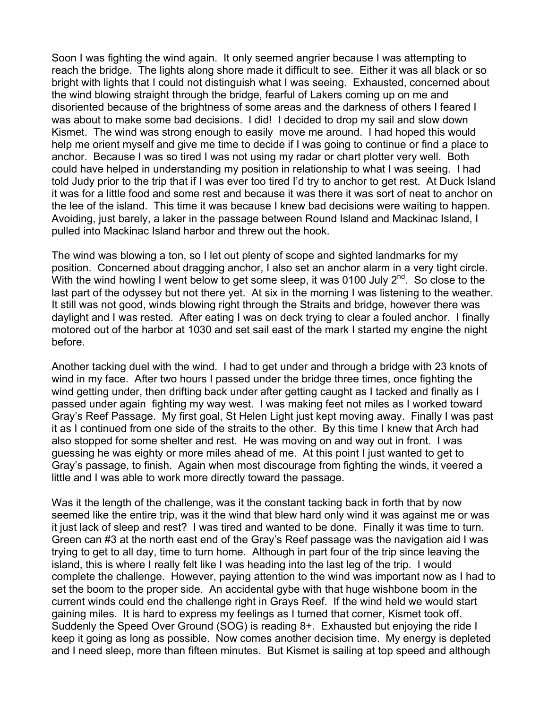Soon I was fighting the wind again. It only seemed angrier because I was attempting to reach the bridge. The lights along shore made it difficult to see. Either it was all black or so bright with lights that I could not distinguish what I was seeing. Exhausted, concerned about the wind blowing straight through the bridge, fearful of Lakers coming up on me and disoriented because of the brightness of some areas and the darkness of others I feared I was about to make some bad decisions. I did! I decided to drop my sail and slow down Kismet. The wind was strong enough to easily move me around. I had hoped this would help me orient myself and give me time to decide if I was going to continue or find a place to anchor. Because I was so tired I was not using my radar or chart plotter very well. Both could have helped in understanding my position in relationship to what I was seeing. I had told Judy prior to the trip that if I was ever too tired I'd try to anchor to get rest. At Duck Island it was for a little food and some rest and because it was there it was sort of neat to anchor on the lee of the island. This time it was because I knew bad decisions were waiting to happen. Avoiding, just barely, a laker in the passage between Round Island and Mackinac Island, I pulled into Mackinac Island harbor and threw out the hook.

The wind was blowing a ton, so I let out plenty of scope and sighted landmarks for my position. Concerned about dragging anchor, I also set an anchor alarm in a very tight circle. With the wind howling I went below to get some sleep, it was 0100 July  $2^{nd}$ . So close to the last part of the odyssey but not there yet. At six in the morning I was listening to the weather. It still was not good, winds blowing right through the Straits and bridge, however there was daylight and I was rested. After eating I was on deck trying to clear a fouled anchor. I finally motored out of the harbor at 1030 and set sail east of the mark I started my engine the night before.

Another tacking duel with the wind. I had to get under and through a bridge with 23 knots of wind in my face. After two hours I passed under the bridge three times, once fighting the wind getting under, then drifting back under after getting caught as I tacked and finally as I passed under again fighting my way west. I was making feet not miles as I worked toward Gray's Reef Passage. My first goal, St Helen Light just kept moving away. Finally I was past it as I continued from one side of the straits to the other. By this time I knew that Arch had also stopped for some shelter and rest. He was moving on and way out in front. I was guessing he was eighty or more miles ahead of me. At this point I just wanted to get to Gray's passage, to finish. Again when most discourage from fighting the winds, it veered a little and I was able to work more directly toward the passage.

Was it the length of the challenge, was it the constant tacking back in forth that by now seemed like the entire trip, was it the wind that blew hard only wind it was against me or was it just lack of sleep and rest? I was tired and wanted to be done. Finally it was time to turn. Green can #3 at the north east end of the Gray's Reef passage was the navigation aid I was trying to get to all day, time to turn home. Although in part four of the trip since leaving the island, this is where I really felt like I was heading into the last leg of the trip. I would complete the challenge. However, paying attention to the wind was important now as I had to set the boom to the proper side. An accidental gybe with that huge wishbone boom in the current winds could end the challenge right in Grays Reef. If the wind held we would start gaining miles. It is hard to express my feelings as I turned that corner, Kismet took off. Suddenly the Speed Over Ground (SOG) is reading 8+. Exhausted but enjoying the ride I keep it going as long as possible. Now comes another decision time. My energy is depleted and I need sleep, more than fifteen minutes. But Kismet is sailing at top speed and although